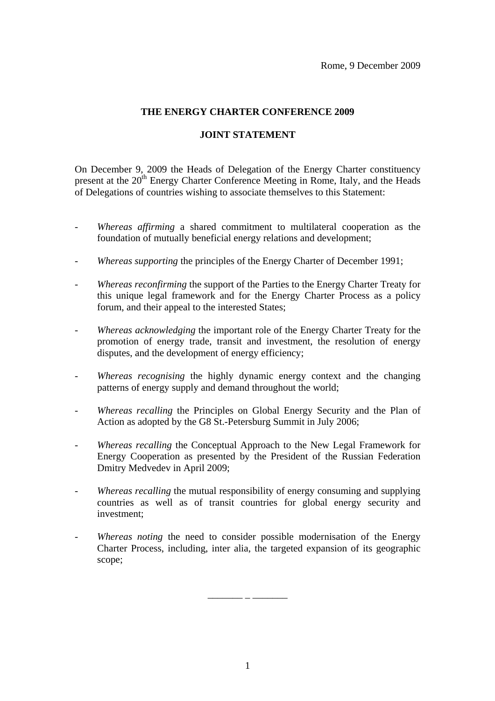## **THE ENERGY CHARTER CONFERENCE 2009**

## **JOINT STATEMENT**

On December 9, 2009 the Heads of Delegation of the Energy Charter constituency present at the  $20<sup>th</sup>$  Energy Charter Conference Meeting in Rome, Italy, and the Heads of Delegations of countries wishing to associate themselves to this Statement:

- *Whereas affirming* a shared commitment to multilateral cooperation as the foundation of mutually beneficial energy relations and development;
- *Whereas supporting* the principles of the Energy Charter of December 1991;
- *Whereas reconfirming* the support of the Parties to the Energy Charter Treaty for this unique legal framework and for the Energy Charter Process as a policy forum, and their appeal to the interested States;
- *Whereas acknowledging* the important role of the Energy Charter Treaty for the promotion of energy trade, transit and investment, the resolution of energy disputes, and the development of energy efficiency;
- *Whereas recognising* the highly dynamic energy context and the changing patterns of energy supply and demand throughout the world;
- *Whereas recalling* the Principles on Global Energy Security and the Plan of Action as adopted by the G8 St.-Petersburg Summit in July 2006;
- *Whereas recalling* the Conceptual Approach to the New Legal Framework for Energy Cooperation as presented by the President of the Russian Federation Dmitry Medvedev in April 2009;
- *Whereas recalling* the mutual responsibility of energy consuming and supplying countries as well as of transit countries for global energy security and investment;
- *Whereas noting* the need to consider possible modernisation of the Energy Charter Process, including, inter alia, the targeted expansion of its geographic scope;

 $\mathcal{L}_\text{max}$